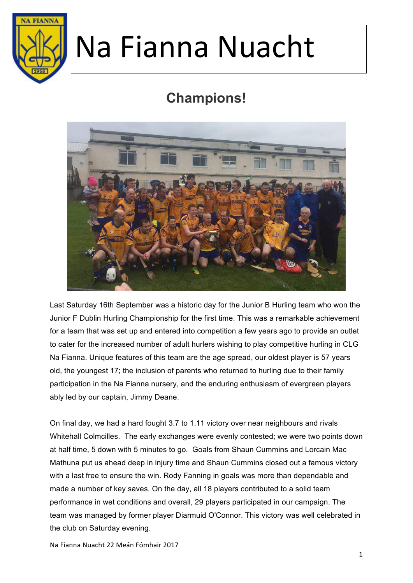

### **Champions!**



Last Saturday 16th September was a historic day for the Junior B Hurling team who won the Junior F Dublin Hurling Championship for the first time. This was a remarkable achievement for a team that was set up and entered into competition a few years ago to provide an outlet to cater for the increased number of adult hurlers wishing to play competitive hurling in CLG Na Fianna. Unique features of this team are the age spread, our oldest player is 57 years old, the youngest 17; the inclusion of parents who returned to hurling due to their family participation in the Na Fianna nursery, and the enduring enthusiasm of evergreen players ably led by our captain, Jimmy Deane.

On final day, we had a hard fought 3.7 to 1.11 victory over near neighbours and rivals Whitehall Colmcilles. The early exchanges were evenly contested; we were two points down at half time, 5 down with 5 minutes to go. Goals from Shaun Cummins and Lorcain Mac Mathuna put us ahead deep in injury time and Shaun Cummins closed out a famous victory with a last free to ensure the win. Rody Fanning in goals was more than dependable and made a number of key saves. On the day, all 18 players contributed to a solid team performance in wet conditions and overall, 29 players participated in our campaign. The team was managed by former player Diarmuid O'Connor. This victory was well celebrated in the club on Saturday evening.

Na Fianna Nuacht 22 Meán Fómhair 2017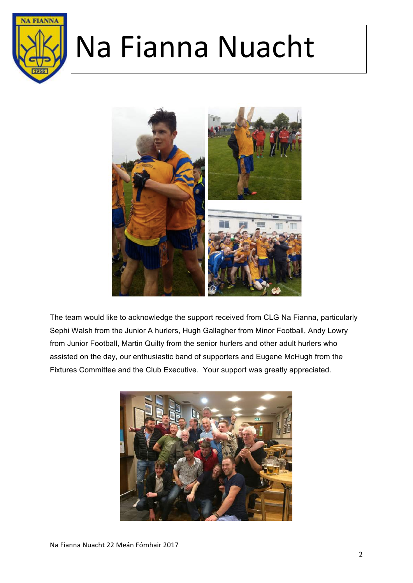



The team would like to acknowledge the support received from CLG Na Fianna, particularly Sephi Walsh from the Junior A hurlers, Hugh Gallagher from Minor Football, Andy Lowry from Junior Football, Martin Quilty from the senior hurlers and other adult hurlers who assisted on the day, our enthusiastic band of supporters and Eugene McHugh from the Fixtures Committee and the Club Executive. Your support was greatly appreciated.

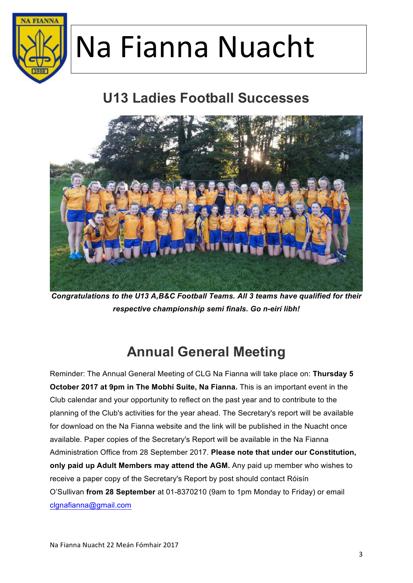

#### **U13 Ladies Football Successes**



*Congratulations to the U13 A,B&C Football Teams. All 3 teams have qualified for their respective championship semi finals. Go n-eirí libh!* 

#### **Annual General Meeting**

Reminder: The Annual General Meeting of CLG Na Fianna will take place on: **Thursday 5 October 2017 at 9pm in The Mobhí Suite, Na Fianna.** This is an important event in the Club calendar and your opportunity to reflect on the past year and to contribute to the planning of the Club's activities for the year ahead. The Secretary's report will be available for download on the Na Fianna website and the link will be published in the Nuacht once available. Paper copies of the Secretary's Report will be available in the Na Fianna Administration Office from 28 September 2017. **Please note that under our Constitution, only paid up Adult Members may attend the AGM.** Any paid up member who wishes to receive a paper copy of the Secretary's Report by post should contact Róisín O'Sullivan **from 28 September** at 01-8370210 (9am to 1pm Monday to Friday) or email clgnafianna@gmail.com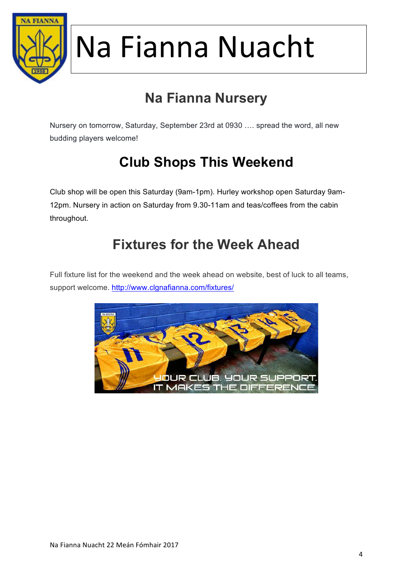

### **Na Fianna Nursery**

Nursery on tomorrow, Saturday, September 23rd at 0930 …. spread the word, all new budding players welcome!

### **Club Shops This Weekend**

Club shop will be open this Saturday (9am-1pm). Hurley workshop open Saturday 9am-12pm. Nursery in action on Saturday from 9.30-11am and teas/coffees from the cabin throughout.

#### **Fixtures for the Week Ahead**

Full fixture list for the weekend and the week ahead on website, best of luck to all teams, support welcome. http://www.clgnafianna.com/fixtures/

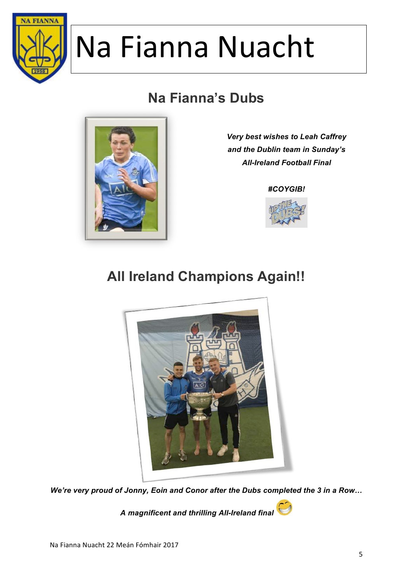

### **Na Fianna's Dubs**



*Very best wishes to Leah Caffrey and the Dublin team in Sunday's All-Ireland Football Final*

#### *#COYGIB!*



#### **All Ireland Champions Again!!**



*We're very proud of Jonny, Eoin and Conor after the Dubs completed the 3 in a Row…*

*A magnificent and thrilling All-Ireland final*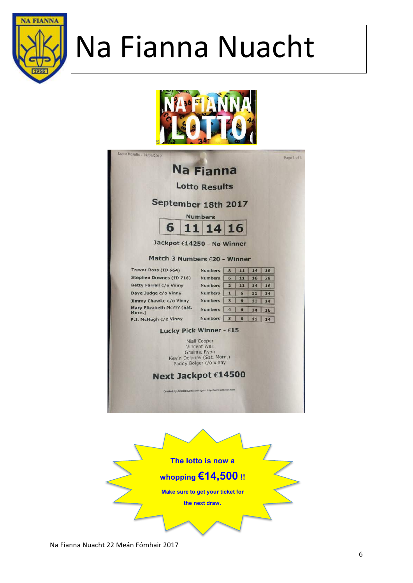





Na Fianna Nuacht 22 Meán Fómhair 2017